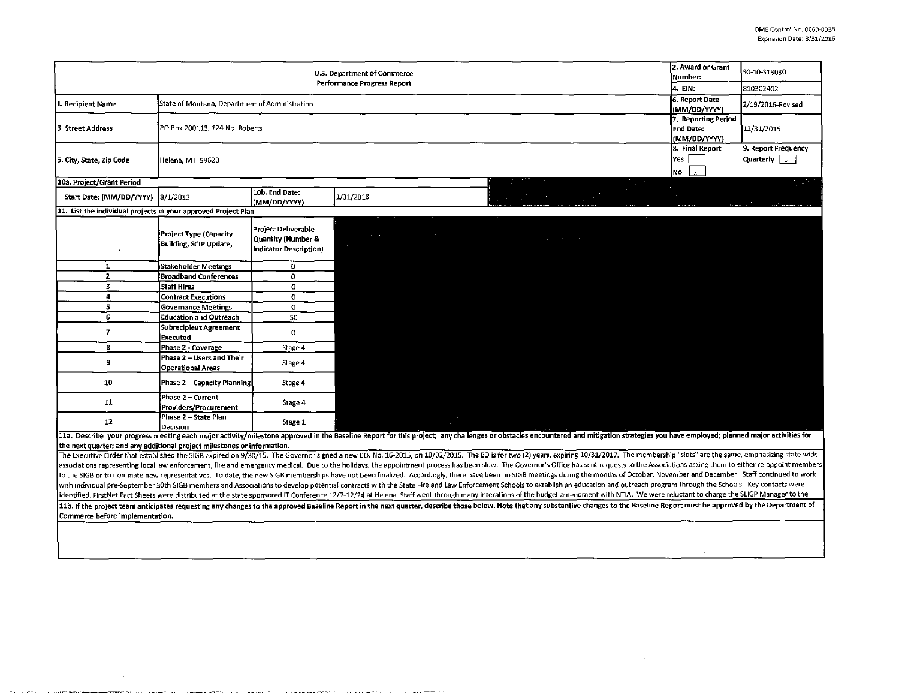$\sim$ 

| U.S. Department of Commerce                                                                                                                                                                                                                                                                               |                                                         |                        |                                                                                                                             |  |  | Number:                                                                         | 2. Award or Grant | 30-10-S13030                        |                      |
|-----------------------------------------------------------------------------------------------------------------------------------------------------------------------------------------------------------------------------------------------------------------------------------------------------------|---------------------------------------------------------|------------------------|-----------------------------------------------------------------------------------------------------------------------------|--|--|---------------------------------------------------------------------------------|-------------------|-------------------------------------|----------------------|
| <b>Performance Progress Report</b>                                                                                                                                                                                                                                                                        |                                                         |                        |                                                                                                                             |  |  |                                                                                 | 4. EIN:           |                                     | 810302402            |
| State of Montana, Department of Administration<br>1. Recipient Name                                                                                                                                                                                                                                       |                                                         |                        |                                                                                                                             |  |  |                                                                                 |                   | 6. Report Date                      | 2/19/2016-Revised    |
|                                                                                                                                                                                                                                                                                                           |                                                         |                        |                                                                                                                             |  |  |                                                                                 |                   | (MM/DD/YYYY)<br>7. Reporting Period |                      |
| 3. Street Address<br>PO Box 200113, 124 No. Roberts                                                                                                                                                                                                                                                       |                                                         |                        |                                                                                                                             |  |  | <b>End Date:</b>                                                                |                   | 12/31/2015                          |                      |
|                                                                                                                                                                                                                                                                                                           |                                                         |                        |                                                                                                                             |  |  |                                                                                 |                   | (MM/DD/YYYY)                        |                      |
|                                                                                                                                                                                                                                                                                                           | Yes<br>Helena MT 59620<br>lNo l                         |                        |                                                                                                                             |  |  |                                                                                 |                   | 8. Final Report                     | 9. Report Frequency  |
| 5. City, State, Zip Code                                                                                                                                                                                                                                                                                  |                                                         |                        |                                                                                                                             |  |  |                                                                                 |                   |                                     | Quarterly $\sqrt{ }$ |
|                                                                                                                                                                                                                                                                                                           |                                                         |                        |                                                                                                                             |  |  |                                                                                 |                   | $\mathbf{x}$                        |                      |
| 10a. Project/Grant Period<br>10b. End Date:                                                                                                                                                                                                                                                               |                                                         |                        |                                                                                                                             |  |  |                                                                                 |                   |                                     |                      |
| Start Date: (MM/DD/YYYY)                                                                                                                                                                                                                                                                                  | 8/1/2013                                                | (MM/DD/YYYY)           | 1/31/2018                                                                                                                   |  |  |                                                                                 |                   |                                     |                      |
| 11. List the individual projects in your approved Project Plan                                                                                                                                                                                                                                            |                                                         |                        |                                                                                                                             |  |  |                                                                                 |                   |                                     |                      |
|                                                                                                                                                                                                                                                                                                           |                                                         | Project Deliverable    |                                                                                                                             |  |  |                                                                                 |                   |                                     |                      |
|                                                                                                                                                                                                                                                                                                           | <b>Project Type (Capacity</b><br>Building, SCIP Update, | Quantity (Number &     | $\mathcal{F}^{\mathcal{G}}_{\mathcal{G}}$ is the following the following function $\mathcal{F}^{\mathcal{G}}_{\mathcal{G}}$ |  |  | the contract of the contract of the contract of the contract of the contract of |                   |                                     |                      |
|                                                                                                                                                                                                                                                                                                           |                                                         | Indicator Description) | <u> 1989 - An Dùbhlachd ann an Dùbhlachd ann an Dùbhlachd ann an Dùbhlachd ann an Dùbhlachd ann an Dùbhlachd ann </u>       |  |  |                                                                                 |                   |                                     |                      |
| 1                                                                                                                                                                                                                                                                                                         | <b>Stakeholder Meetings</b>                             | 0                      |                                                                                                                             |  |  |                                                                                 |                   |                                     |                      |
| $\overline{2}$                                                                                                                                                                                                                                                                                            | <b>Broadband Conferences</b>                            | $\Omega$               |                                                                                                                             |  |  |                                                                                 |                   |                                     |                      |
| 3                                                                                                                                                                                                                                                                                                         | <b>Staff Hires</b>                                      | 0                      |                                                                                                                             |  |  |                                                                                 |                   |                                     |                      |
| 4                                                                                                                                                                                                                                                                                                         | <b>Contract Executions</b>                              | $\Omega$               |                                                                                                                             |  |  |                                                                                 |                   |                                     |                      |
| 5                                                                                                                                                                                                                                                                                                         | <b>Governance Meetings</b>                              | $\Omega$               |                                                                                                                             |  |  |                                                                                 |                   |                                     |                      |
| 6                                                                                                                                                                                                                                                                                                         | <b>Education and Outreach</b>                           | 50                     |                                                                                                                             |  |  |                                                                                 |                   |                                     |                      |
| $\overline{7}$                                                                                                                                                                                                                                                                                            | Subrecipient Agreement<br>Executed                      | $\Omega$               |                                                                                                                             |  |  |                                                                                 |                   |                                     |                      |
| 8                                                                                                                                                                                                                                                                                                         | Phase 2 - Coverage                                      | Stage 4                |                                                                                                                             |  |  |                                                                                 |                   |                                     |                      |
| 9                                                                                                                                                                                                                                                                                                         | Phase 2 - Users and Their<br><b>Operational Areas</b>   | Stage 4                |                                                                                                                             |  |  |                                                                                 |                   |                                     |                      |
| 10                                                                                                                                                                                                                                                                                                        | <b>Phase 2 - Capacity Planning</b>                      | Stage 4                |                                                                                                                             |  |  |                                                                                 |                   |                                     |                      |
| 11                                                                                                                                                                                                                                                                                                        | Phase 2 - Current<br><b>Providers/Procurement</b>       | Stage 4                |                                                                                                                             |  |  |                                                                                 |                   |                                     |                      |
| 12                                                                                                                                                                                                                                                                                                        | Phase 2 - State Plan<br><b>Decision</b>                 | Stage 1                |                                                                                                                             |  |  |                                                                                 |                   |                                     |                      |
| 11a. Describe your progress meeting each major activity/milestone approved in the Baseline Report for this project; any challenges or obstacles encountered and mitigation strategies you have employed; planned major activit                                                                            |                                                         |                        |                                                                                                                             |  |  |                                                                                 |                   |                                     |                      |
| the next quarter; and any additional project milestones or information.<br>The Executive Order that established the SIGB expired on 9/30/15. The Governor signed a new EO, No. 16-2015, on 10/02/2015. The EO is for two (2) years, expiring 10/31/2017. The membership "slots" are the same, emphasizing |                                                         |                        |                                                                                                                             |  |  |                                                                                 |                   |                                     |                      |
| associations representing local law enforcement, fire and emergency medical. Due to the holidays, the appointment process has been slow. The Governor's Office has sent requests to the Associations asking them to either re-                                                                            |                                                         |                        |                                                                                                                             |  |  |                                                                                 |                   |                                     |                      |
| to the SIGB or to nominate new representatives. To date, the new SIGB memberships have not been finalized. Accordingly, there have been no SIGB meetings during the months of October, November and December. Staff continued                                                                             |                                                         |                        |                                                                                                                             |  |  |                                                                                 |                   |                                     |                      |
| with individual pre-September 30th SIGB members and Associations to develop potential contracts with the State Fire and Law Enforcement Schools to extablish an education and outreach program through the Schools. Key contac                                                                            |                                                         |                        |                                                                                                                             |  |  |                                                                                 |                   |                                     |                      |
| identified. FirstNet Fact Sheets were distributed at the state sponsored IT Conference 12/7-12/24 at Helena. Staff went through many interations of the budget amendment with NTIA. We were reluctant to charge the SLIGP Mana                                                                            |                                                         |                        |                                                                                                                             |  |  |                                                                                 |                   |                                     |                      |
| 11b. If the project team anticipates requesting any changes to the approved Baseline Report in the next quarter, describe those below. Note that any substantive changes to the Baseline Report must be approved by the Depart<br>Commerce before implementation.                                         |                                                         |                        |                                                                                                                             |  |  |                                                                                 |                   |                                     |                      |
|                                                                                                                                                                                                                                                                                                           |                                                         |                        |                                                                                                                             |  |  |                                                                                 |                   |                                     |                      |

 $\sim$ 

.<br>No segunda a composito de la composição de Maria de La Composición de la construcción de la composición de la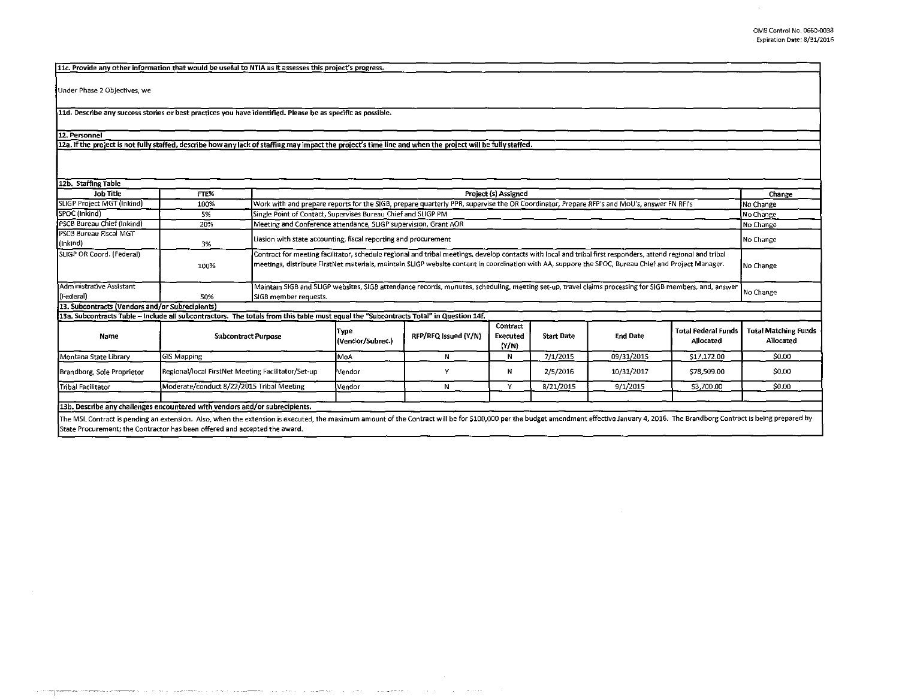| 11c. Provide any other information that would be useful to NTIA as it assesses this project's progress.                                                                                                                         |                                                    |                                                                                                                                                                                                                                                                                                                      |                                                                                                                                                        |                      |                               |                   |                 |                                         |                                          |  |
|---------------------------------------------------------------------------------------------------------------------------------------------------------------------------------------------------------------------------------|----------------------------------------------------|----------------------------------------------------------------------------------------------------------------------------------------------------------------------------------------------------------------------------------------------------------------------------------------------------------------------|--------------------------------------------------------------------------------------------------------------------------------------------------------|----------------------|-------------------------------|-------------------|-----------------|-----------------------------------------|------------------------------------------|--|
|                                                                                                                                                                                                                                 |                                                    |                                                                                                                                                                                                                                                                                                                      |                                                                                                                                                        |                      |                               |                   |                 |                                         |                                          |  |
| Under Phase 2 Objectives, we                                                                                                                                                                                                    |                                                    |                                                                                                                                                                                                                                                                                                                      |                                                                                                                                                        |                      |                               |                   |                 |                                         |                                          |  |
| 11d. Describe any success stories or best practices you have identified. Please be as specific as possible.                                                                                                                     |                                                    |                                                                                                                                                                                                                                                                                                                      |                                                                                                                                                        |                      |                               |                   |                 |                                         |                                          |  |
| 12. Personnel                                                                                                                                                                                                                   |                                                    |                                                                                                                                                                                                                                                                                                                      |                                                                                                                                                        |                      |                               |                   |                 |                                         |                                          |  |
| 12a. If the project is not fully staffed, describe how any lack of staffing may impact the project's time line and when the project will be fully staffed.                                                                      |                                                    |                                                                                                                                                                                                                                                                                                                      |                                                                                                                                                        |                      |                               |                   |                 |                                         |                                          |  |
|                                                                                                                                                                                                                                 |                                                    |                                                                                                                                                                                                                                                                                                                      |                                                                                                                                                        |                      |                               |                   |                 |                                         |                                          |  |
| 12b. Staffing Table                                                                                                                                                                                                             |                                                    |                                                                                                                                                                                                                                                                                                                      |                                                                                                                                                        |                      |                               |                   |                 |                                         |                                          |  |
| <b>Job Title</b>                                                                                                                                                                                                                | FTE%                                               | Project (s) Assigned                                                                                                                                                                                                                                                                                                 |                                                                                                                                                        |                      |                               |                   |                 |                                         | Change                                   |  |
| SLIGP Project MGT (Inkind)                                                                                                                                                                                                      | 100%                                               | Work with and prepare reports for the SIGB, prepare quarterly PPR, supervise the OR Coordinator, Prepare RFP's and MoU's, answer FN RFI's                                                                                                                                                                            |                                                                                                                                                        |                      |                               |                   |                 |                                         | No Change                                |  |
| SPOC (Inkind)                                                                                                                                                                                                                   | 5%                                                 | Single Point of Contact, Supervises Bureau Chief and SLIGP PM                                                                                                                                                                                                                                                        |                                                                                                                                                        |                      |                               |                   |                 |                                         | No Change                                |  |
| PSCB Bureau Chief (Inkind)<br>PSCB Bureau Fiscal MGT                                                                                                                                                                            | 20%                                                |                                                                                                                                                                                                                                                                                                                      | Meeting and Conference attendance, SLIGP supervision, Grant AOR<br>No Change                                                                           |                      |                               |                   |                 |                                         |                                          |  |
| (Inkind)                                                                                                                                                                                                                        | 3%                                                 | Liasion with state accounting, fiscal reporting and procurement                                                                                                                                                                                                                                                      |                                                                                                                                                        |                      |                               |                   |                 |                                         | No Change                                |  |
| SLIGP OR Coord. (Federal)                                                                                                                                                                                                       | 100%                                               | Contract for meeting facilitator, schedule regional and tribal meetings, develop contacts with local and tribal first responders, attend regional and tribal<br>meetings, distribute FirstNet materials, maintain SLIGP website content in coordination with AA, suppore the SPOC, Bureau Chief and Project Manager. |                                                                                                                                                        |                      |                               |                   |                 |                                         | No Change                                |  |
| Administrative Assistant                                                                                                                                                                                                        |                                                    |                                                                                                                                                                                                                                                                                                                      | Maintain SIGB and SLIGP websites, SIGB attendance records, munutes, scheduling, meeting set-up, travel claims processing for SIGB members, and, answer |                      |                               |                   |                 |                                         |                                          |  |
| (Federal)                                                                                                                                                                                                                       | 50%                                                | No Change<br>SIGB member requests.                                                                                                                                                                                                                                                                                   |                                                                                                                                                        |                      |                               |                   |                 |                                         |                                          |  |
| 13. Subcontracts (Vendors and/or Subrecipients)                                                                                                                                                                                 |                                                    |                                                                                                                                                                                                                                                                                                                      |                                                                                                                                                        |                      |                               |                   |                 |                                         |                                          |  |
| 13a. Subcontracts Table - Include all subcontractors. The totals from this table must equal the "Subcontracts Total" in Question 14f.                                                                                           |                                                    |                                                                                                                                                                                                                                                                                                                      |                                                                                                                                                        |                      |                               |                   |                 |                                         |                                          |  |
| Name                                                                                                                                                                                                                            | <b>Subcontract Purpose</b>                         |                                                                                                                                                                                                                                                                                                                      | Type<br>(Vendor/Subrec.)                                                                                                                               | RFP/RFQ Issued (Y/N) | Contract<br>Executed<br>(Y/N) | <b>Start Date</b> | <b>End Date</b> | <b>Total Federal Funds</b><br>Allocated | <b>Total Matching Funds</b><br>Allocated |  |
| Montana State Library                                                                                                                                                                                                           | <b>GIS Mapping</b>                                 |                                                                                                                                                                                                                                                                                                                      |                                                                                                                                                        | N                    | N                             | 7/1/2015          | 09/31/2015      | \$17,172.00                             | \$0.00                                   |  |
| Brandborg, Sole Proprietor                                                                                                                                                                                                      | Regional/local FirstNet Meeting Facilitator/Set-up |                                                                                                                                                                                                                                                                                                                      | Vendor                                                                                                                                                 | Y                    | N                             | 2/5/2016          | 10/31/2017      | \$78,509.00                             | \$0.00                                   |  |
| Tribal Facilitator                                                                                                                                                                                                              | Moderate/conduct 8/22/2015 Tribal Meeting          |                                                                                                                                                                                                                                                                                                                      | Vendor                                                                                                                                                 | N                    | Y                             | 8/21/2015         | 9/1/2015        | \$3,700.00                              | \$0.00                                   |  |
|                                                                                                                                                                                                                                 |                                                    |                                                                                                                                                                                                                                                                                                                      |                                                                                                                                                        |                      |                               |                   |                 |                                         |                                          |  |
| 13b. Describe any challenges encountered with vendors and/or subrecipients.                                                                                                                                                     |                                                    |                                                                                                                                                                                                                                                                                                                      |                                                                                                                                                        |                      |                               |                   |                 |                                         |                                          |  |
| The MCL Contract is pending an extension. Also what the extension is executed the maximum amount of the Contract will be for \$100.000 per the budget amondment effective January 4, 2016. The Brandborg Contract is heing pren |                                                    |                                                                                                                                                                                                                                                                                                                      |                                                                                                                                                        |                      |                               |                   |                 |                                         |                                          |  |

The MSL Contract is pending an extension. Also, when the extension is executed, the maximum amount of the Contract will be for \$100,000 per the budget amendment effective January 4, 2016. The Brandborg Contract is being pr State Procurement; the Contractor has been offered and accepted the award.

 $\mathcal{A}$  and  $\mathcal{A}$  is a set of  $\mathcal{A}$  . In the case of  $\mathcal{A}$ 

 $\sim$  100  $\pm$  100  $\pm$ 

--~----